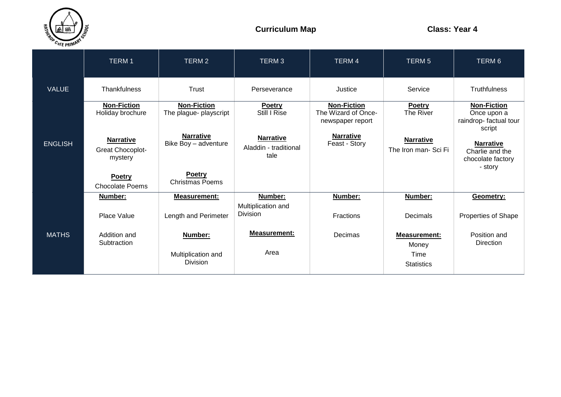

|                | <b>TERM1</b>                                           | TERM <sub>2</sub>                            | <b>TERM3</b>                                      | TERM 4                                                        | TERM <sub>5</sub>                        | TERM 6                                                               |
|----------------|--------------------------------------------------------|----------------------------------------------|---------------------------------------------------|---------------------------------------------------------------|------------------------------------------|----------------------------------------------------------------------|
| <b>VALUE</b>   | <b>Thankfulness</b>                                    | Trust                                        | Perseverance                                      | Justice                                                       | Service                                  | <b>Truthfulness</b>                                                  |
|                | <b>Non-Fiction</b><br>Holiday brochure                 | <b>Non-Fiction</b><br>The plague- playscript | <b>Poetry</b><br>Still I Rise                     | <b>Non-Fiction</b><br>The Wizard of Once-<br>newspaper report | Poetry<br>The River                      | <b>Non-Fiction</b><br>Once upon a<br>raindrop-factual tour<br>script |
| <b>ENGLISH</b> | <b>Narrative</b><br><b>Great Chocoplot-</b><br>mystery | <b>Narrative</b><br>Bike Boy - adventure     | <b>Narrative</b><br>Aladdin - traditional<br>tale | <b>Narrative</b><br>Feast - Story                             | <b>Narrative</b><br>The Iron man- Sci Fi | <b>Narrative</b><br>Charlie and the<br>chocolate factory<br>- story  |
|                | Poetry<br><b>Chocolate Poems</b>                       | <b>Poetry</b><br><b>Christmas Poems</b>      |                                                   |                                                               |                                          |                                                                      |
|                | Number:                                                | Measurement:                                 | Number:<br>Multiplication and                     | Number:                                                       | Number:                                  | Geometry:                                                            |
|                | Place Value                                            | Length and Perimeter                         | <b>Division</b>                                   | Fractions                                                     | Decimals                                 | Properties of Shape                                                  |
| <b>MATHS</b>   | Addition and<br>Subtraction                            | Number:                                      | <b>Measurement:</b>                               | Decimas                                                       | <b>Measurement:</b><br>Money             | Position and<br>Direction                                            |
|                |                                                        | Multiplication and<br><b>Division</b>        | Area                                              |                                                               | Time<br><b>Statistics</b>                |                                                                      |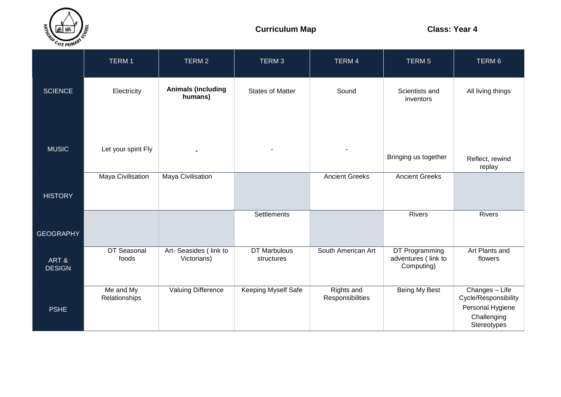

|                       | TERM 1                     | TERM 2                                | TERM <sub>3</sub>                 | TERM 4                         | TERM <sub>5</sub>                                   | TERM 6                                                                                   |
|-----------------------|----------------------------|---------------------------------------|-----------------------------------|--------------------------------|-----------------------------------------------------|------------------------------------------------------------------------------------------|
| <b>SCIENCE</b>        | Electricity                | <b>Animals (including</b><br>humans)  | <b>States of Matter</b>           | Sound                          | Scientists and<br>inventors                         | All living things                                                                        |
| <b>MUSIC</b>          | Let your spirit Fly        |                                       | $\blacksquare$                    |                                | Bringing us together                                | Reflect, rewind<br>replay                                                                |
| <b>HISTORY</b>        | Maya Civilisation          | Maya Civilisation                     |                                   | <b>Ancient Greeks</b>          | <b>Ancient Greeks</b>                               |                                                                                          |
| <b>GEOGRAPHY</b>      |                            |                                       | Settlements                       |                                | <b>Rivers</b>                                       | <b>Rivers</b>                                                                            |
| ART&<br><b>DESIGN</b> | DT Seasonal<br>foods       | Art- Seasides (link to<br>Victorians) | <b>DT Marbulous</b><br>structures | South American Art             | DT Programming<br>adventures (link to<br>Computing) | Art Plants and<br>flowers                                                                |
| <b>PSHE</b>           | Me and My<br>Relationships | Valuing Difference                    | Keeping Myself Safe               | Rights and<br>Responsibilities | Being My Best                                       | Changes - Life<br>Cycle/Responsibility<br>Personal Hygiene<br>Challenging<br>Stereotypes |